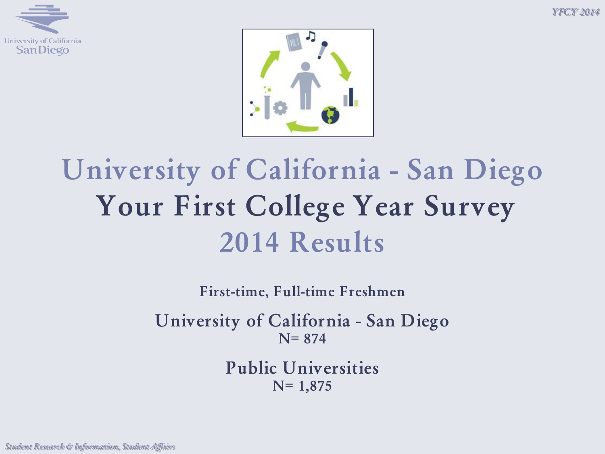*Y FCY 2014*





# **University of California - San Diego Your First College Year Survey 2014 Results**

**First-time, Full-time Freshmen**

**University of California - San Diego N= 874**

> **Public Universities N= 1,875**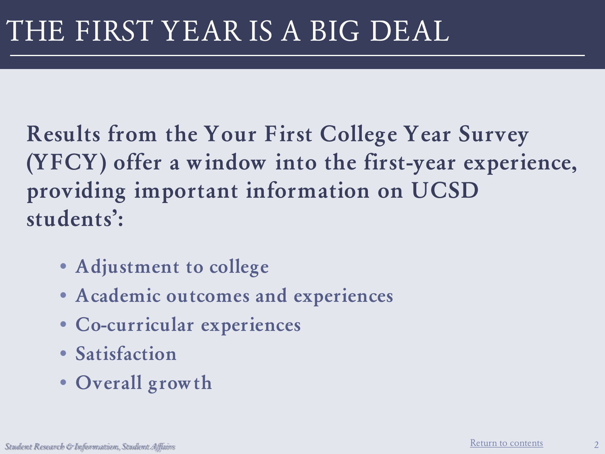**Results from the Your First College Year Survey (YFCY) offer a window into the first-year experience, providing important information on UCSD students':**

- **Adjustment to college**
- **Academic outcomes and experiences**
- **Co-curricular experiences**
- **Satisfaction**
- **Overall growth**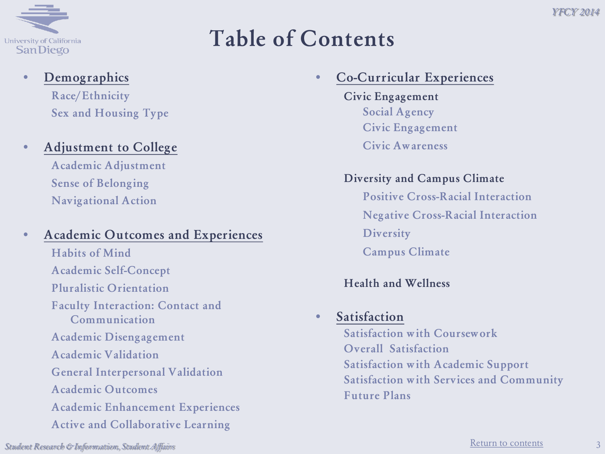

### **Table of Contents**

#### • **Demographics Race/Ethnicity**

**Sex and Housing Type**

#### • **Adjustment to College**

**Academic Adjustment Sense of Belonging Navigational Action**

#### • **Academic Outcomes and Experiences**

<span id="page-2-0"></span>**Habits of Mind Academic Self-Concept Pluralistic Orientation Faculty Interaction: Contact and Communication Academic Disengagement Academic Validation General Interpersonal Validation Academic Outcomes Academic Enhancement Experiences Active and Collaborative Learning** 

#### • **Co-Curricular Experiences**

**Civic Engagement Social Agency Civic Engagement Civic Awareness**

#### **Diversity and Campus Climate**

**Positive Cross-Racial Interaction Negative Cross-Racial Interaction Diversity Campus Climate**

#### **Health and Wellness**

#### • **Satisfaction**

**Satisfaction with Coursework Overall Satisfaction Satisfaction with Academic Support Satisfaction with Services and Community Future Plans**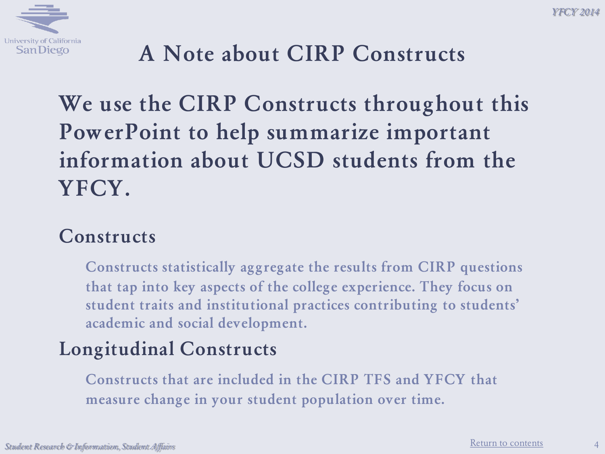

## **A Note about CIRP Constructs**

## **We use the CIRP Constructs throughout this PowerPoint to help summarize important information about UCSD students from the YFCY.**

#### **Constructs**

**Constructs statistically aggregate the results from CIRP questions that tap into key aspects of the college experience. They focus on student traits and institutional practices contributing to students' academic and social development.**

#### **Longitudinal Constructs**

**Constructs that are included in the CIRP TFS and YFCY that measure change in your student population over time.**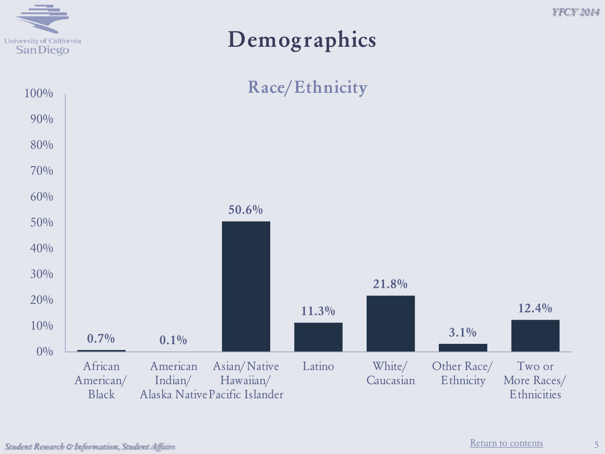

#### **Demographics**



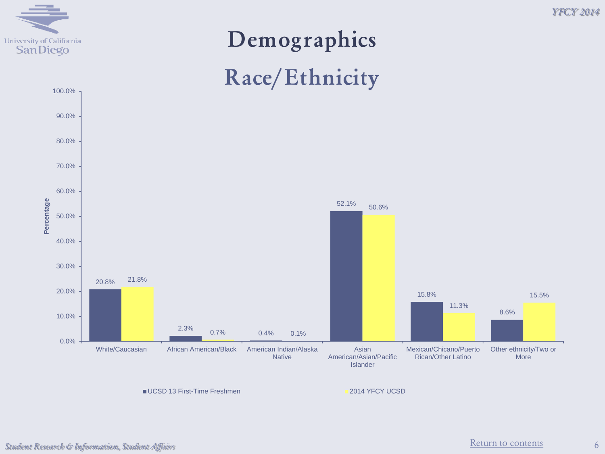

# **Demographics Race/Ethnicity**



■UCSD 13 First-Time Freshmen 2014 YFCY UCSD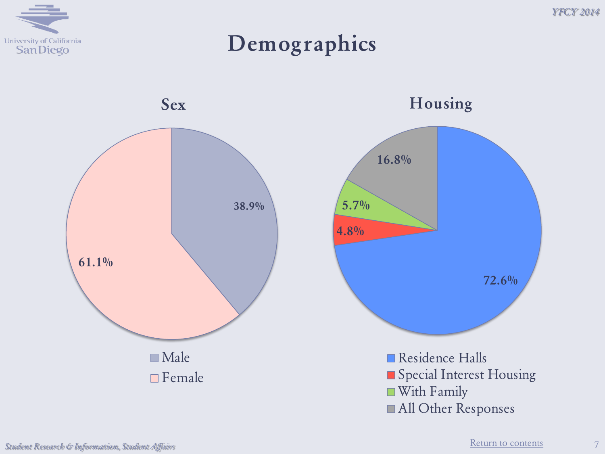

**Demographics**





All Other Responses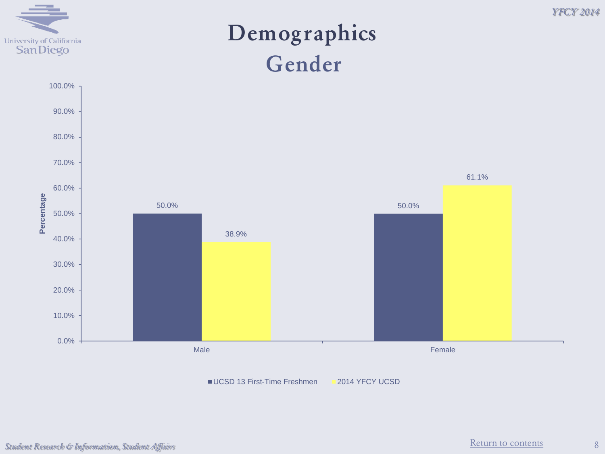

#### **Demographics Gender**



UCSD 13 First-Time Freshmen 2014 YFCY UCSD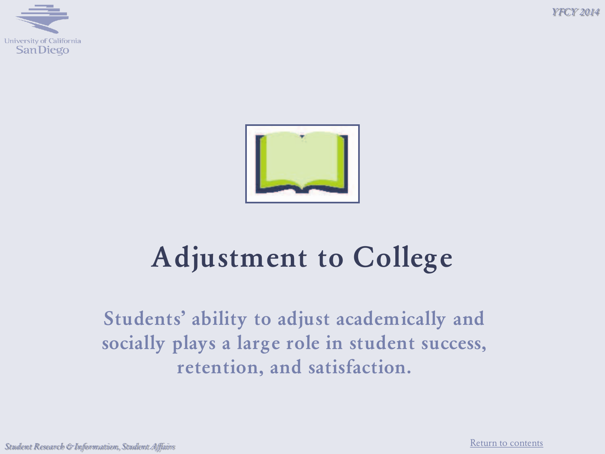*Y FCY 2014*





# **Adjustment to College**

**Students' ability to adjust academically and socially plays a large role in student success, retention, and satisfaction.**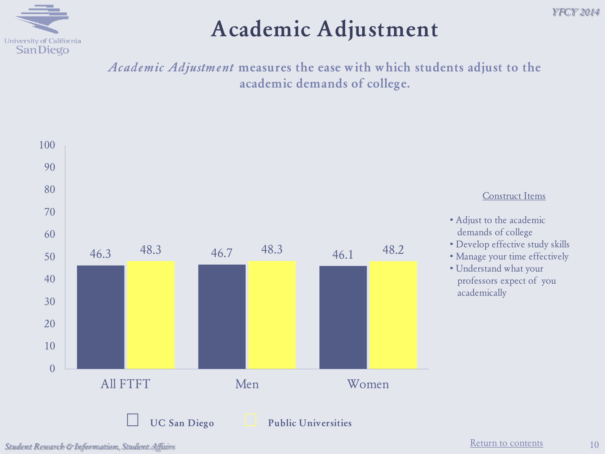

### **Academic Adjustment**

*Academic Adjustment* **measures the ease with which students adjust to the academic demands of college.**

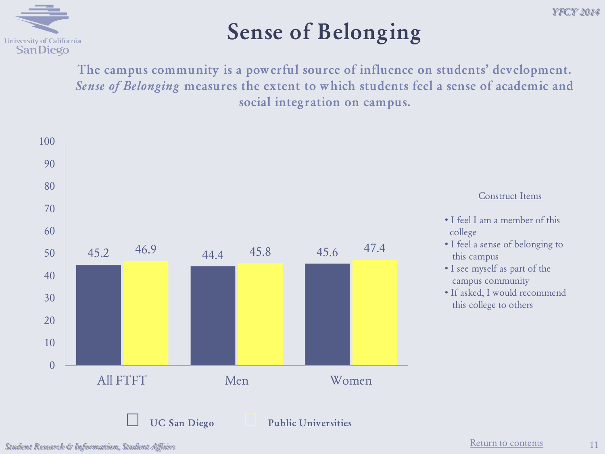

## **Sense of Belonging**

**The campus community is a powerful source of influence on students' development.**  *Sense of Belonging* **measures the extent to which students feel a sense of academic and social integration on campus.**



[Return to contents](#page-2-0) *Student Research & Information, Student Affairs*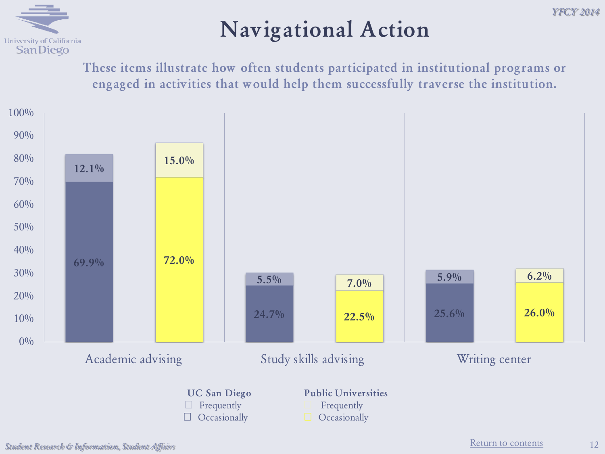

### **Navigational Action**

**These items illustrate how often students participated in institutional programs or engaged in activities that would help them successfully traverse the institution.**



12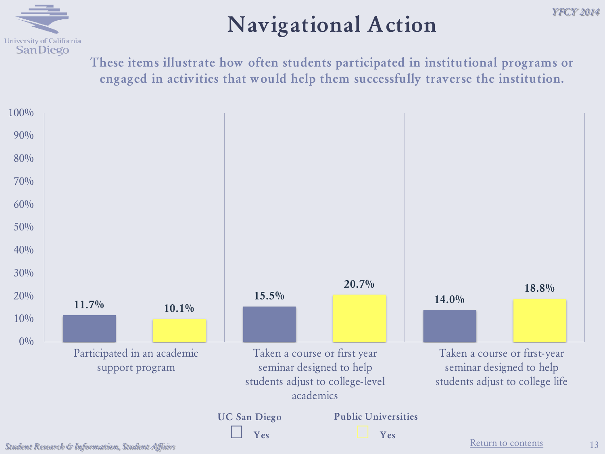

#### **Navigational Action**

**These items illustrate how often students participated in institutional programs or engaged in activities that would help them successfully traverse the institution.**



*Y FCY 2014*

13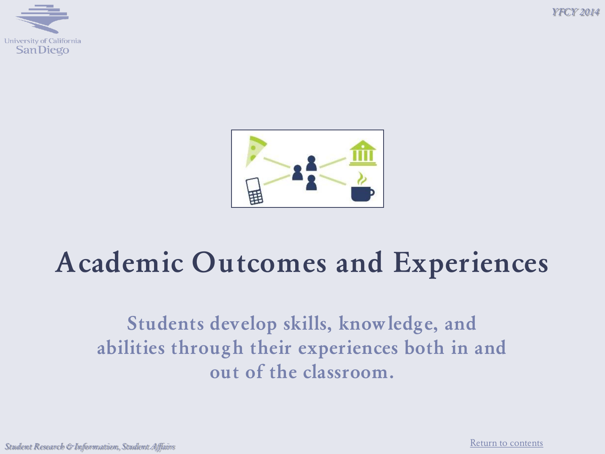





# **Academic Outcomes and Experiences**

**Students develop skills, knowledge, and abilities through their experiences both in and out of the classroom.**

[Return to contents](#page-2-0) *Student Research & Information, Student Affairs*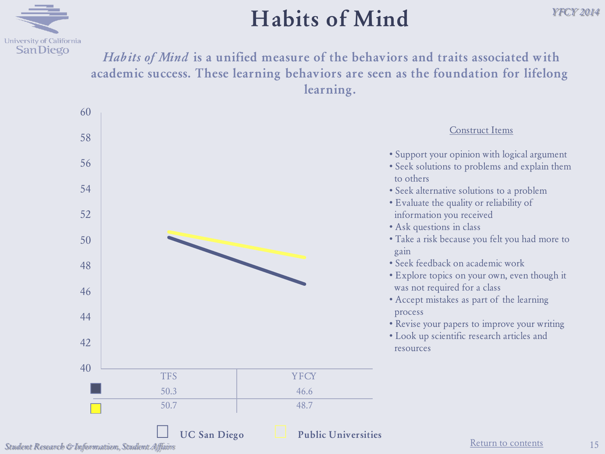

#### **Habits of Mind**

*Habits of Mind* **is a unified measure of the behaviors and traits associated with academic success. These learning behaviors are seen as the foundation for lifelong learning.**



Student Research & Information, Student Affairs **Student Affairs Student Affairs Student Affairs Student Affairs**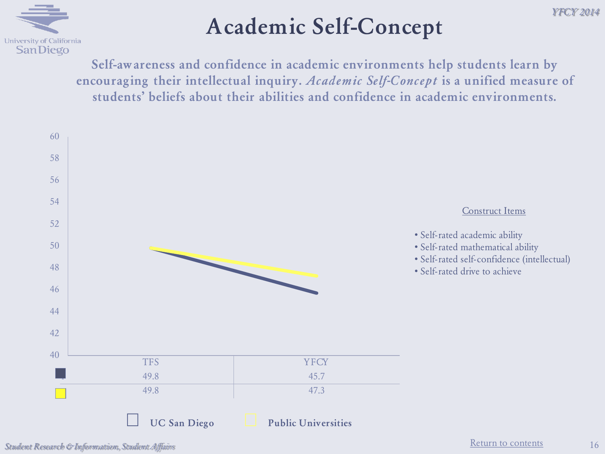

## **Academic Self-Concept**

**Self-awareness and confidence in academic environments help students learn by encouraging their intellectual inquiry.** *Academic Self-Concept* **is a unified measure of students' beliefs about their abilities and confidence in academic environments.**



[Return to contents](#page-2-0) *Student Research & Information, Student Affairs*

16

*Y FCY 2014*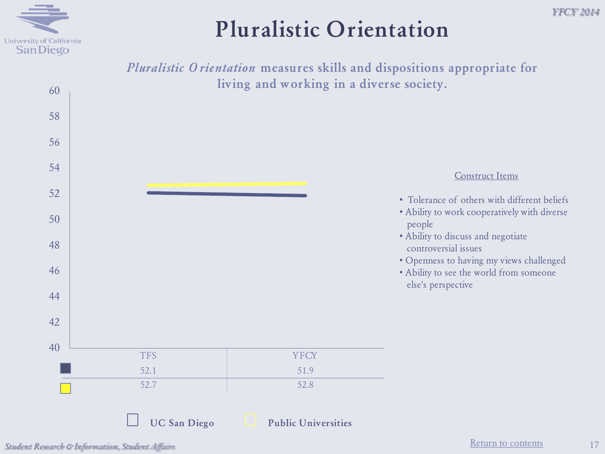

#### *Y FCY 2014*

#### **Pluralistic Orientation**



[Return to contents](#page-2-0) *Student Research & Information, Student Affairs*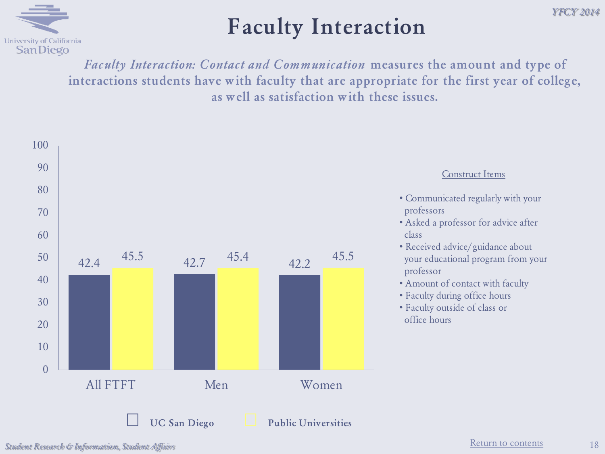

#### **Faculty Interaction**

*Faculty Interaction: Contact and Communication* **measures the amount and type of interactions students have with faculty that are appropriate for the first year of college, as well as satisfaction with these issues.**



[Return to contents](#page-2-0) *Student Research & Information, Student Affairs*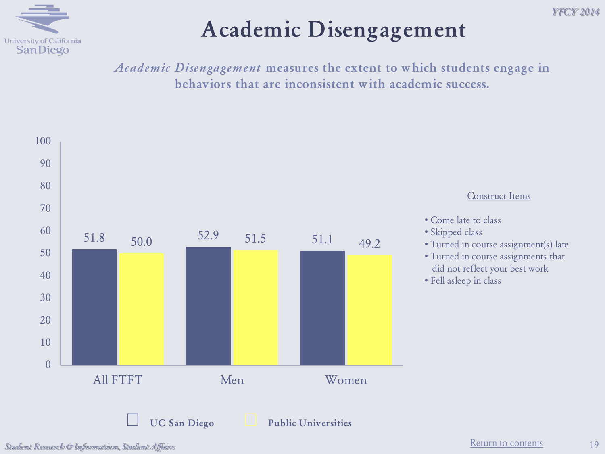

## **Academic Disengagement**

*Academic Disengagement* **measures the extent to which students engage in behaviors that are inconsistent with academic success.** 



19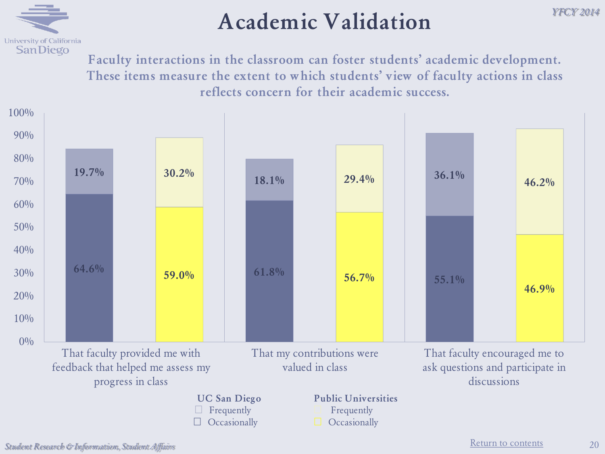

#### **Academic Validation**

*Y FCY 2014*

**Faculty interactions in the classroom can foster students' academic development. These items measure the extent to which students' view of faculty actions in class reflects concern for their academic success.**

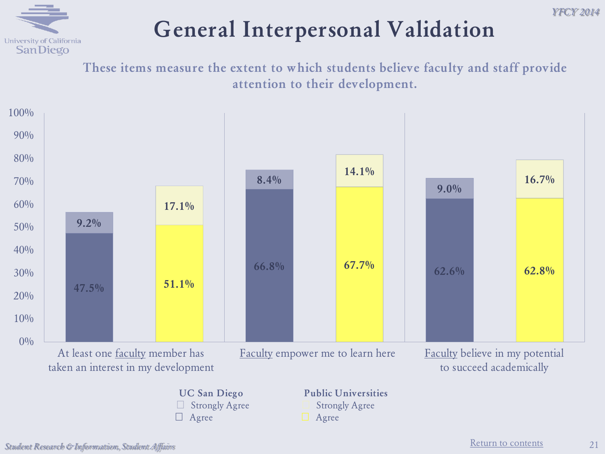## **General Interpersonal Validation**

**These items measure the extent to which students believe faculty and staff provide attention to their development.**

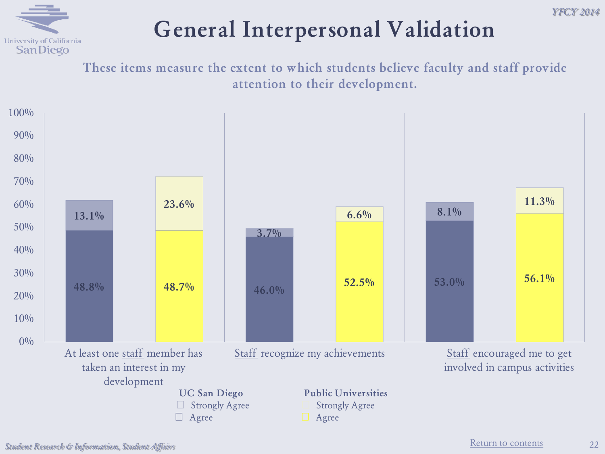

## **General Interpersonal Validation**

**These items measure the extent to which students believe faculty and staff provide attention to their development.**

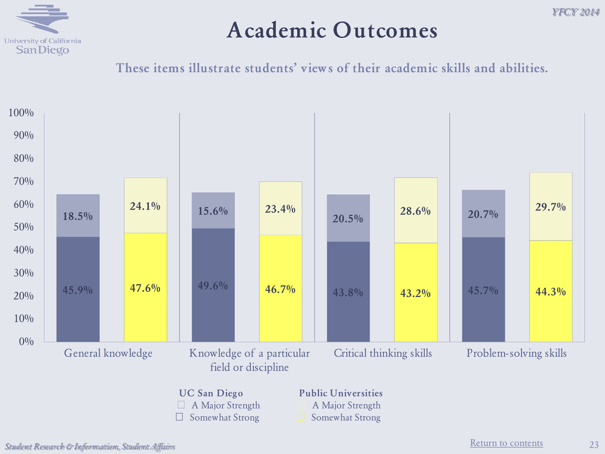

#### **Academic Outcomes**

**These items illustrate students' views of their academic skills and abilities.**

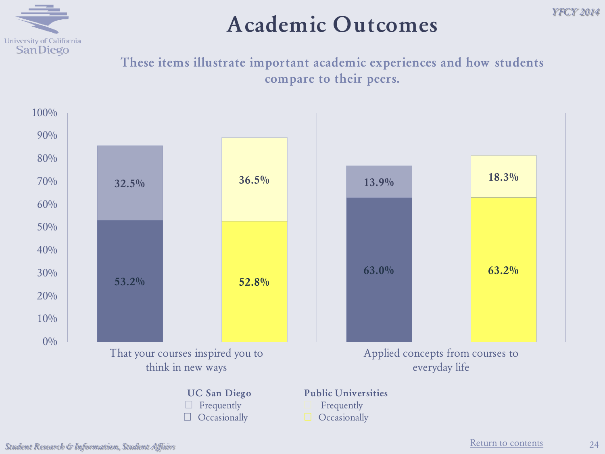

#### **Academic Outcomes**

**These items illustrate important academic experiences and how students compare to their peers.**



*Y FCY 2014*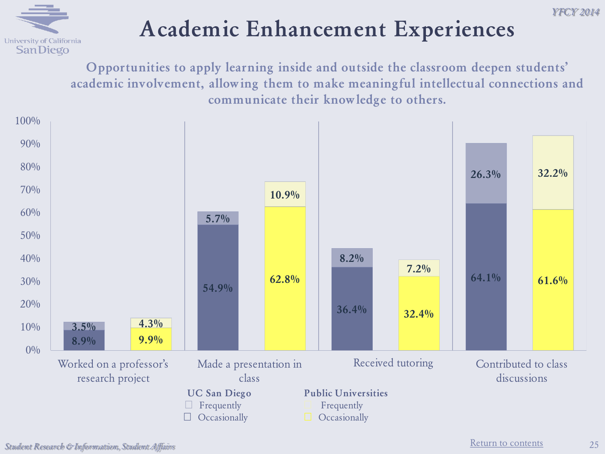

## **Academic Enhancement Experiences**

**Opportunities to apply learning inside and outside the classroom deepen students' academic involvement, allowing them to make meaningful intellectual connections and communicate their knowledge to others.**

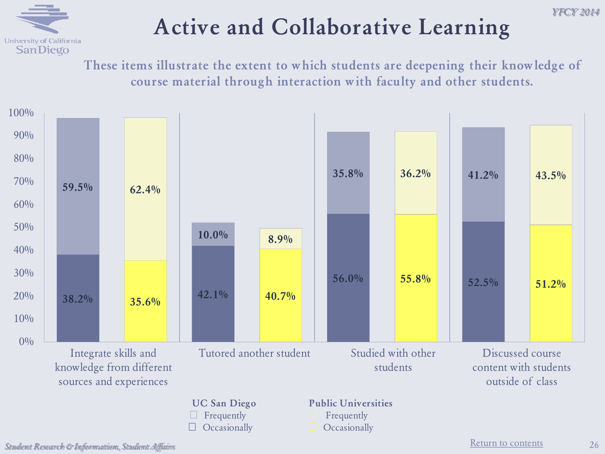#### University of California **SanDiego**

## **Active and Collaborative Learning**

**These items illustrate the extent to which students are deepening their knowledge of course material through interaction with faculty and other students.**

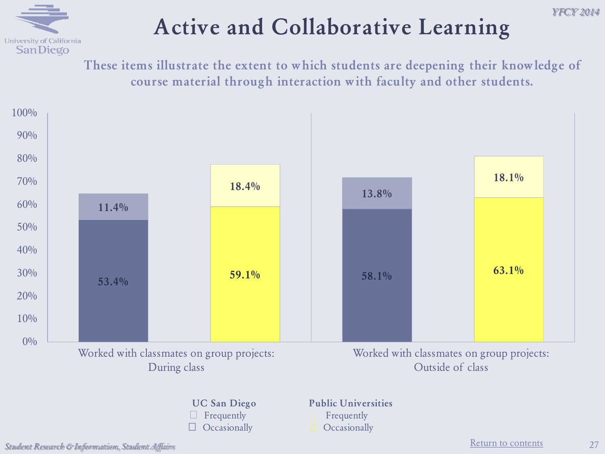# **Active and Collaborative Learning**



**These items illustrate the extent to which students are deepening their knowledge of course material through interaction with faculty and other students.**

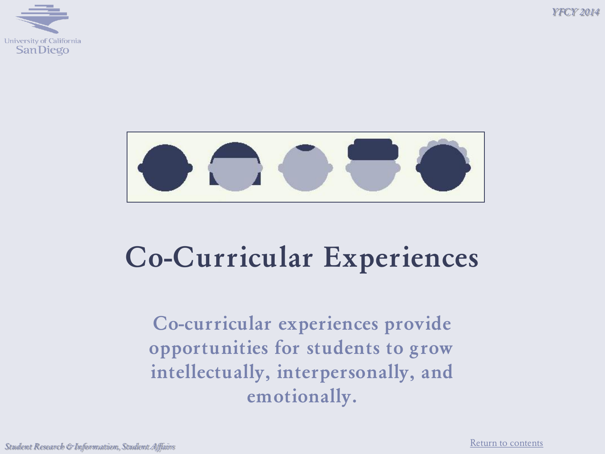*Y FCY 2014*





# **Co-Curricular Experiences**

**Co-curricular experiences provide opportunities for students to grow intellectually, interpersonally, and emotionally.**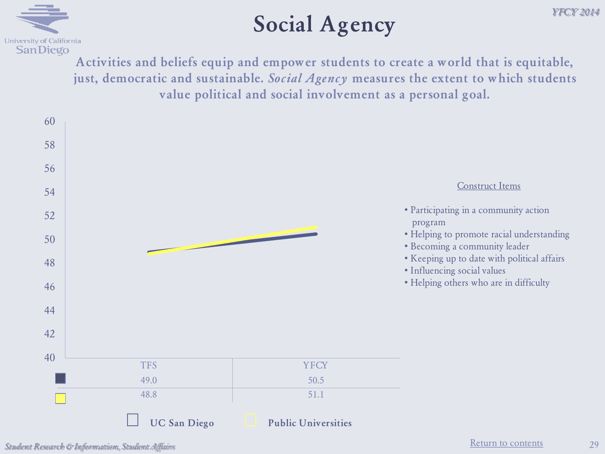

#### **Social Agency**

**Activities and beliefs equip and empower students to create a world that is equitable, just, democratic and sustainable.** *Social Agency* **measures the extent to which students value political and social involvement as a personal goal.**

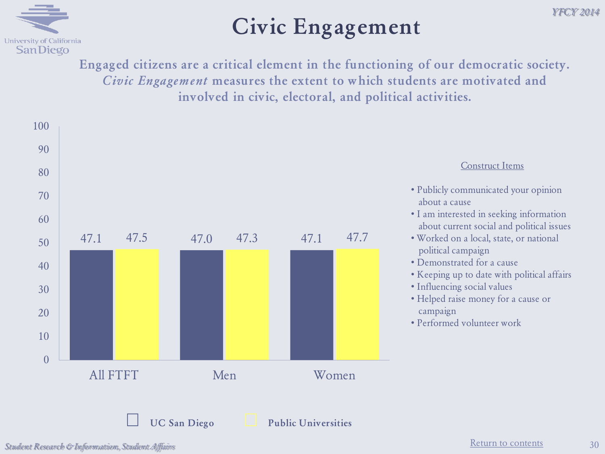

### **Civic Engagement**

**Engaged citizens are a critical element in the functioning of our democratic society.**  *Civic Engagement* **measures the extent to which students are motivated and involved in civic, electoral, and political activities.**



*Y FCY 2014*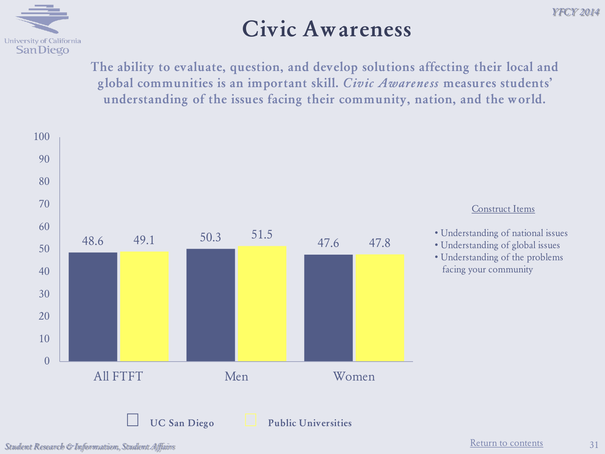

#### **Civic Awareness**

**The ability to evaluate, question, and develop solutions affecting their local and global communities is an important skill.** *Civic Awareness* **measures students' understanding of the issues facing their community, nation, and the world.**



31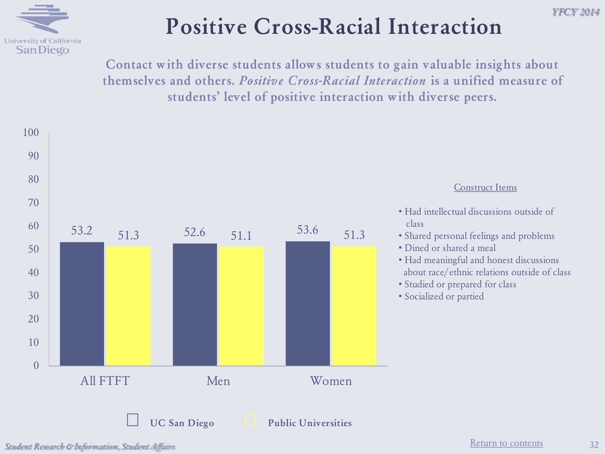

## **Positive Cross-Racial Interaction**

**Contact with diverse students allows students to gain valuable insights about themselves and others.** *Positive Cross-Racial Interaction* **is a unified measure of students' level of positive interaction with diverse peers.**



*Y FCY 2014*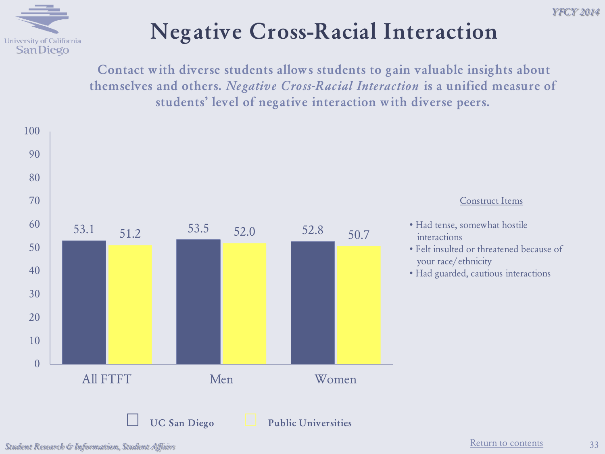



## **Negative Cross-Racial Interaction**

**Contact with diverse students allows students to gain valuable insights about themselves and others.** *Negative Cross-Racial Interaction* **is a unified measure of students' level of negative interaction with diverse peers.**

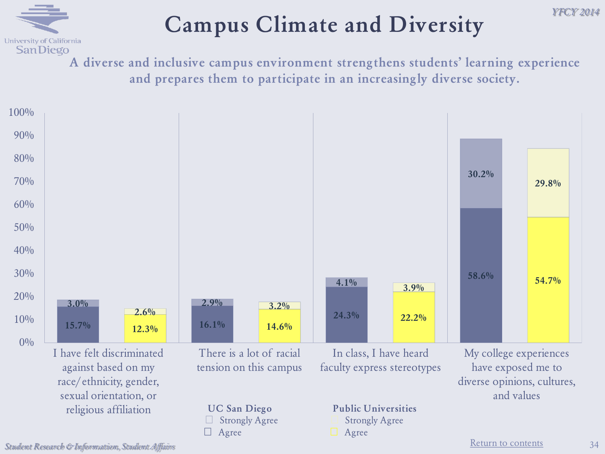# **Campus Climate and Diversity**

**A diverse and inclusive campus environment strengthens students' learning experience and prepares them to participate in an increasingly diverse society.** 



University of California **SanDiego** 

34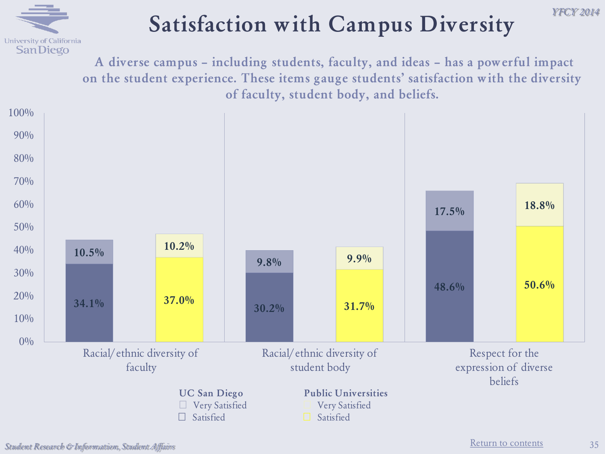

### **Satisfaction with Campus Diversity**

**A diverse campus – including students, faculty, and ideas – has a powerful impact on the student experience. These items gauge students' satisfaction with the diversity of faculty, student body, and beliefs.** 



*Y FCY 2014*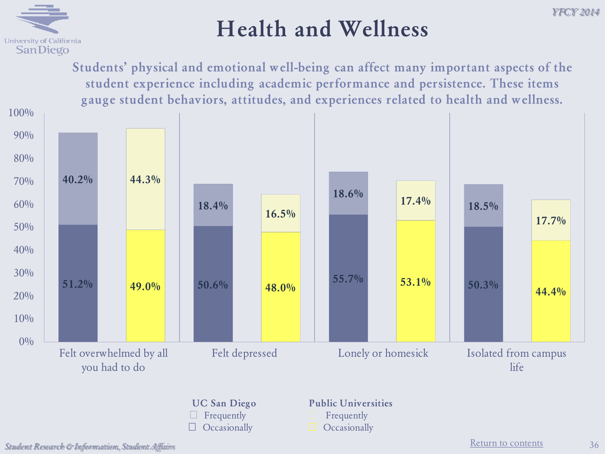

**Students' physical and emotional well-being can affect many important aspects of the student experience including academic performance and persistence. These items gauge student behaviors, attitudes, and experiences related to health and wellness.**



- **UC San Diego** □ Frequently
- □ Occasionally
- **Public Universities**
- **■** Frequently
- □ Occasionally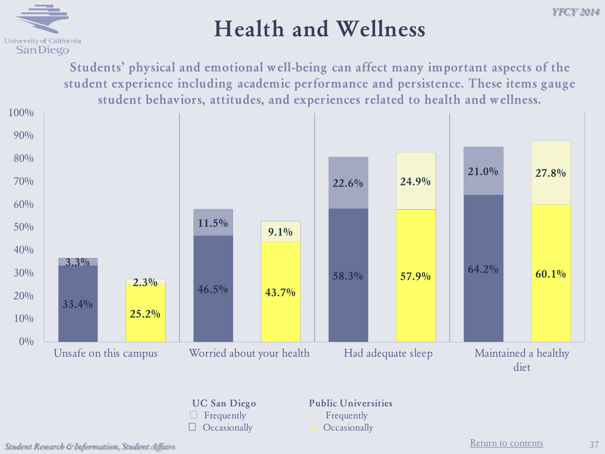

**Students' physical and emotional well-being can affect many important aspects of the student experience including academic performance and persistence. These items gauge student behaviors, attitudes, and experiences related to health and wellness.**





#### **Public Universities**

- **■** Frequently
- □ Occasionally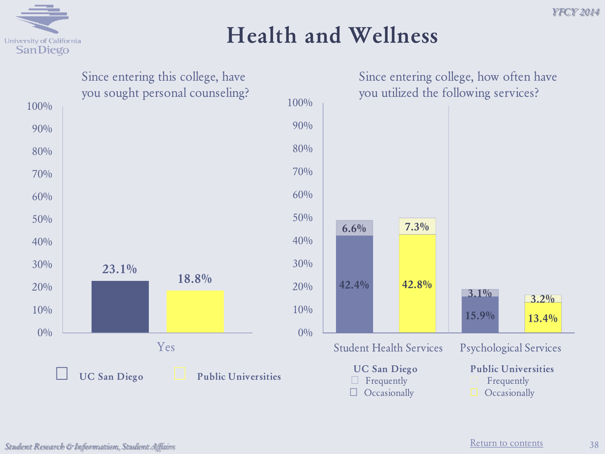

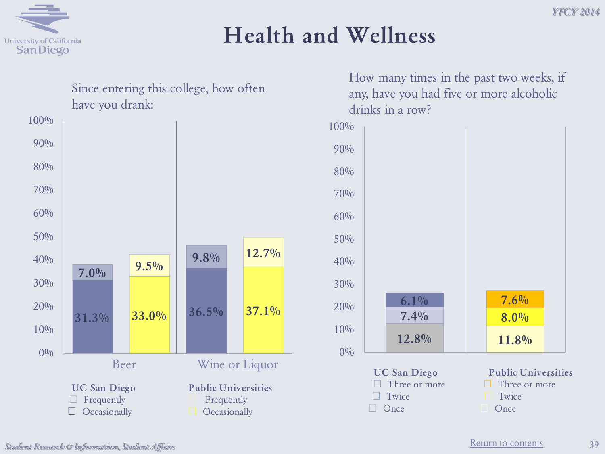



How many times in the past two weeks, if any, have you had five or more alcoholic drinks in a row?

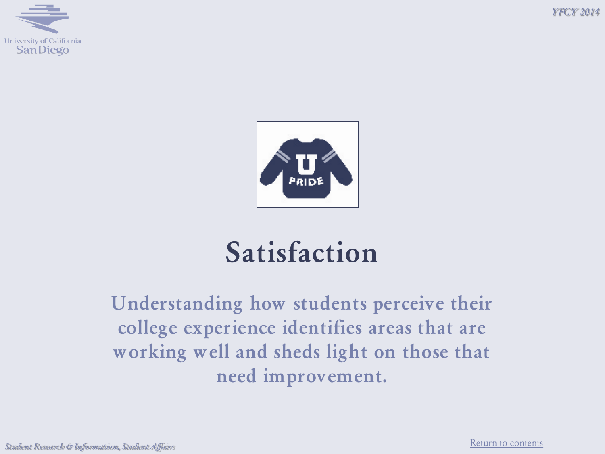*Y FCY 2014*





# **Satisfaction**

**Understanding how students perceive their college experience identifies areas that are working well and sheds light on those that need improvement.**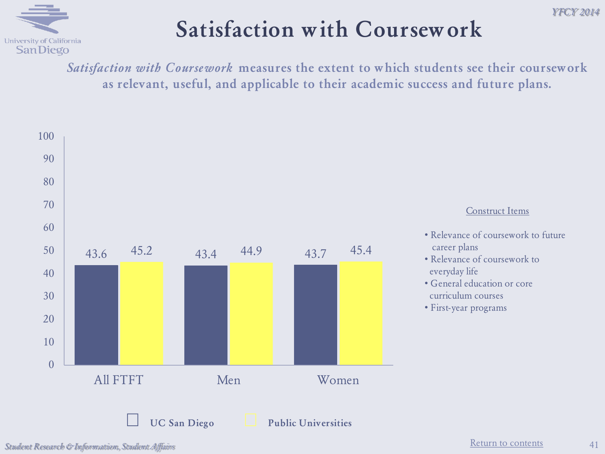

## **Satisfaction with Coursework**

*Satisfaction with Coursework* **measures the extent to which students see their coursework as relevant, useful, and applicable to their academic success and future plans.**

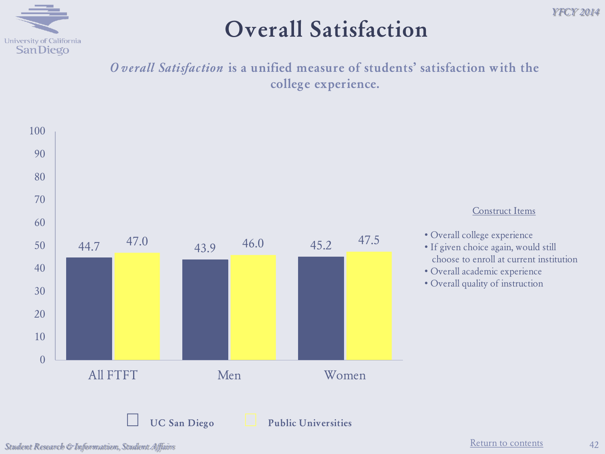

#### **Overall Satisfaction**

#### *O verall Satisfaction* **is a unified measure of students' satisfaction with the college experience.**

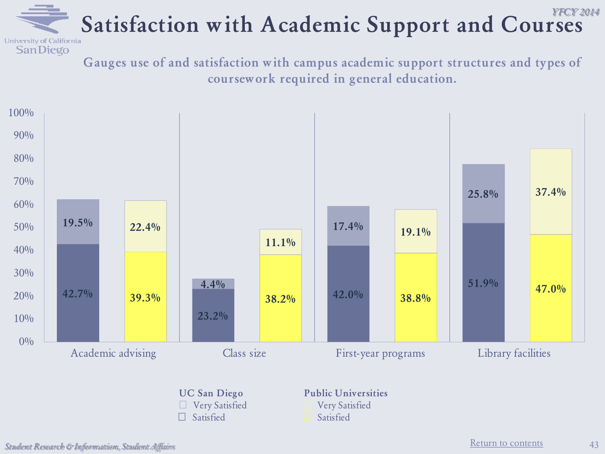#### *Y FCY 2014* Satisfaction with Academic Support and Courses

**Gauges use of and satisfaction with campus academic support structures and types of coursework required in general education.**



**■** Very Satisfied **■** Satisfied

**■** Satisfied

**SanDiego**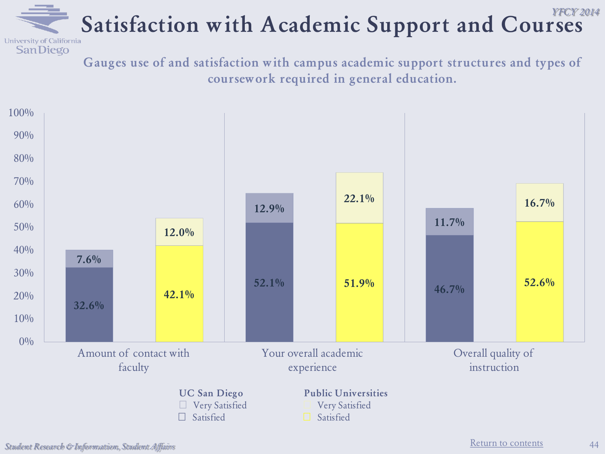#### *Y FCY 2014* Satisfaction with Academic Support and Courses

**Gauges use of and satisfaction with campus academic support structures and types of coursework required in general education.**



[Return to contents](#page-2-0) *Student Research & Information, Student Affairs*

**SanDiego**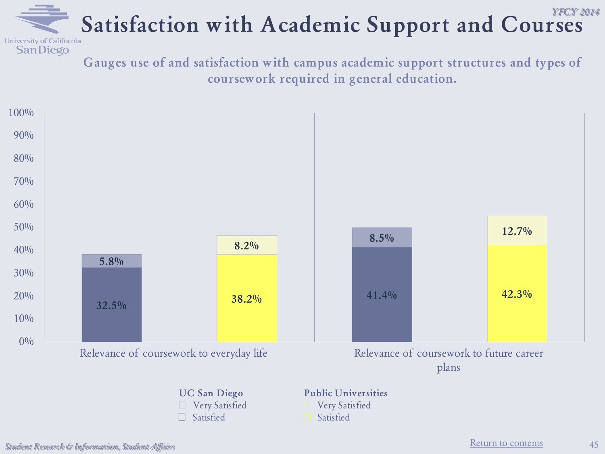#### *Y FCY 2014* Satisfaction with Academic Support and Courses

**Gauges use of and satisfaction with campus academic support structures and types of coursework required in general education.**



**SanDiego**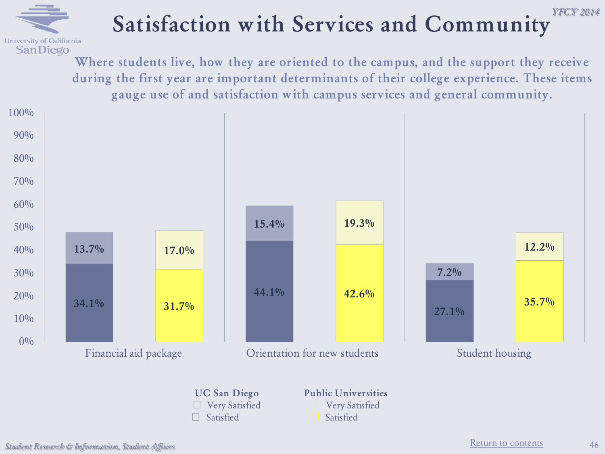

#### *Y FCY 2014* **Satisfaction with Services and Community**

**Where students live, how they are oriented to the campus, and the support they receive during the first year are important determinants of their college experience. These items gauge use of and satisfaction with campus services and general community.**



**Public Universities ■** Very Satisfied

**■** Satisfied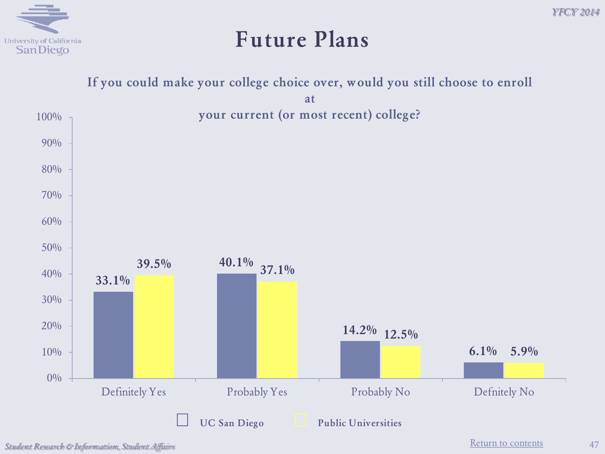#### **Future Plans**

#### **If you could make your college choice over, would you still choose to enroll**

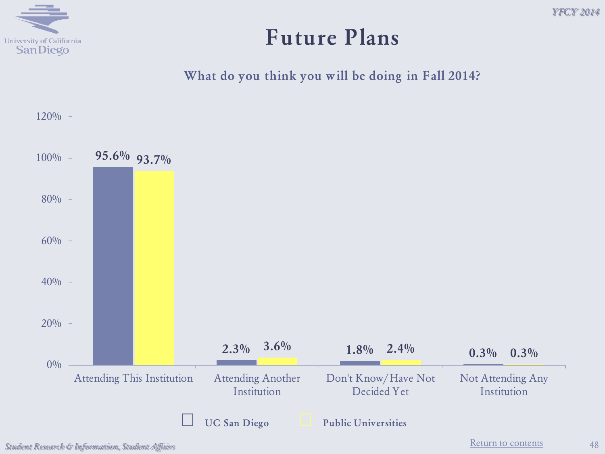

#### **Future Plans**

**What do you think you will be doing in Fall 2014?**